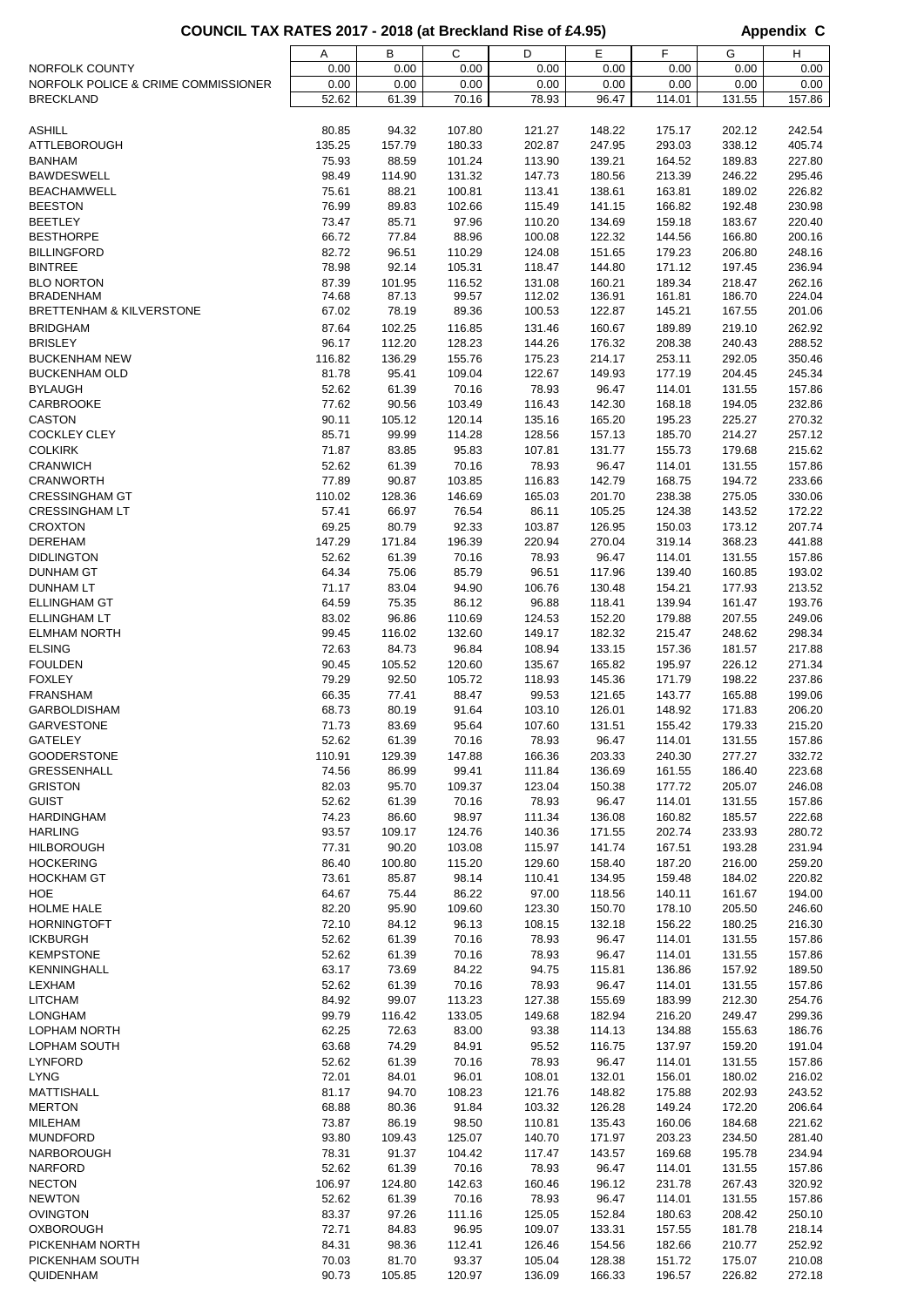## COUNCIL TAX RATES 2017 - 2018 (at Breckland Rise of £4.95) **Appendix C**

|                                     | Α      | В      | C      | D      | Е      | F      | G      | н      |
|-------------------------------------|--------|--------|--------|--------|--------|--------|--------|--------|
| NORFOLK COUNTY                      | 0.00   | 0.00   | 0.00   | 0.00   | 0.00   | 0.00   | 0.00   | 0.00   |
| NORFOLK POLICE & CRIME COMMISSIONER | 0.00   | 0.00   | 0.00   | 0.00   | 0.00   | 0.00   | 0.00   | 0.00   |
| <b>BRECKLAND</b>                    | 52.62  | 61.39  | 70.16  | 78.93  | 96.47  | 114.01 | 131.55 | 157.86 |
|                                     |        |        |        |        |        |        |        |        |
| <b>ASHILL</b>                       | 80.85  | 94.32  | 107.80 | 121.27 | 148.22 | 175.17 | 202.12 | 242.54 |
| <b>ATTLEBOROUGH</b>                 | 135.25 | 157.79 | 180.33 | 202.87 | 247.95 | 293.03 | 338.12 | 405.74 |
| <b>BANHAM</b>                       | 75.93  | 88.59  | 101.24 | 113.90 | 139.21 | 164.52 | 189.83 | 227.80 |
| <b>BAWDESWELL</b>                   | 98.49  | 114.90 | 131.32 | 147.73 | 180.56 | 213.39 | 246.22 | 295.46 |
|                                     |        |        |        |        |        |        |        |        |
| <b>BEACHAMWELL</b>                  | 75.61  | 88.21  | 100.81 | 113.41 | 138.61 | 163.81 | 189.02 | 226.82 |
| <b>BEESTON</b>                      | 76.99  | 89.83  | 102.66 | 115.49 | 141.15 | 166.82 | 192.48 | 230.98 |
| <b>BEETLEY</b>                      | 73.47  | 85.71  | 97.96  | 110.20 | 134.69 | 159.18 | 183.67 | 220.40 |
| <b>BESTHORPE</b>                    | 66.72  | 77.84  | 88.96  | 100.08 | 122.32 | 144.56 | 166.80 | 200.16 |
| <b>BILLINGFORD</b>                  | 82.72  | 96.51  | 110.29 | 124.08 | 151.65 | 179.23 | 206.80 | 248.16 |
| <b>BINTREE</b>                      | 78.98  | 92.14  | 105.31 | 118.47 | 144.80 | 171.12 | 197.45 | 236.94 |
| <b>BLO NORTON</b>                   | 87.39  | 101.95 | 116.52 | 131.08 | 160.21 | 189.34 | 218.47 | 262.16 |
| <b>BRADENHAM</b>                    | 74.68  | 87.13  | 99.57  | 112.02 | 136.91 | 161.81 | 186.70 | 224.04 |
| <b>BRETTENHAM &amp; KILVERSTONE</b> | 67.02  | 78.19  | 89.36  | 100.53 | 122.87 | 145.21 | 167.55 | 201.06 |
| <b>BRIDGHAM</b>                     | 87.64  | 102.25 | 116.85 | 131.46 | 160.67 | 189.89 | 219.10 | 262.92 |
| <b>BRISLEY</b>                      | 96.17  | 112.20 | 128.23 | 144.26 | 176.32 | 208.38 | 240.43 | 288.52 |
| <b>BUCKENHAM NEW</b>                | 116.82 | 136.29 | 155.76 | 175.23 | 214.17 | 253.11 | 292.05 | 350.46 |
| <b>BUCKENHAM OLD</b>                | 81.78  | 95.41  | 109.04 | 122.67 | 149.93 | 177.19 | 204.45 | 245.34 |
| <b>BYLAUGH</b>                      | 52.62  | 61.39  | 70.16  | 78.93  | 96.47  | 114.01 | 131.55 | 157.86 |
| <b>CARBROOKE</b>                    | 77.62  | 90.56  | 103.49 | 116.43 | 142.30 | 168.18 | 194.05 | 232.86 |
| <b>CASTON</b>                       | 90.11  | 105.12 | 120.14 | 135.16 | 165.20 | 195.23 | 225.27 | 270.32 |
| <b>COCKLEY CLEY</b>                 | 85.71  | 99.99  | 114.28 | 128.56 | 157.13 | 185.70 | 214.27 | 257.12 |
| <b>COLKIRK</b>                      | 71.87  | 83.85  | 95.83  | 107.81 | 131.77 | 155.73 | 179.68 | 215.62 |
| <b>CRANWICH</b>                     | 52.62  | 61.39  | 70.16  | 78.93  | 96.47  | 114.01 | 131.55 | 157.86 |
| <b>CRANWORTH</b>                    |        |        |        |        |        |        |        |        |
|                                     | 77.89  | 90.87  | 103.85 | 116.83 | 142.79 | 168.75 | 194.72 | 233.66 |
| <b>CRESSINGHAM GT</b>               | 110.02 | 128.36 | 146.69 | 165.03 | 201.70 | 238.38 | 275.05 | 330.06 |
| <b>CRESSINGHAM LT</b>               | 57.41  | 66.97  | 76.54  | 86.11  | 105.25 | 124.38 | 143.52 | 172.22 |
| <b>CROXTON</b>                      | 69.25  | 80.79  | 92.33  | 103.87 | 126.95 | 150.03 | 173.12 | 207.74 |
| <b>DEREHAM</b>                      | 147.29 | 171.84 | 196.39 | 220.94 | 270.04 | 319.14 | 368.23 | 441.88 |
| <b>DIDLINGTON</b>                   | 52.62  | 61.39  | 70.16  | 78.93  | 96.47  | 114.01 | 131.55 | 157.86 |
| <b>DUNHAM GT</b>                    | 64.34  | 75.06  | 85.79  | 96.51  | 117.96 | 139.40 | 160.85 | 193.02 |
| <b>DUNHAM LT</b>                    | 71.17  | 83.04  | 94.90  | 106.76 | 130.48 | 154.21 | 177.93 | 213.52 |
| <b>ELLINGHAM GT</b>                 | 64.59  | 75.35  | 86.12  | 96.88  | 118.41 | 139.94 | 161.47 | 193.76 |
| <b>ELLINGHAM LT</b>                 | 83.02  | 96.86  | 110.69 | 124.53 | 152.20 | 179.88 | 207.55 | 249.06 |
| <b>ELMHAM NORTH</b>                 | 99.45  | 116.02 | 132.60 | 149.17 | 182.32 | 215.47 | 248.62 | 298.34 |
| <b>ELSING</b>                       | 72.63  | 84.73  | 96.84  | 108.94 | 133.15 | 157.36 | 181.57 | 217.88 |
| <b>FOULDEN</b>                      | 90.45  | 105.52 | 120.60 | 135.67 | 165.82 | 195.97 | 226.12 | 271.34 |
| <b>FOXLEY</b>                       | 79.29  | 92.50  | 105.72 | 118.93 | 145.36 | 171.79 | 198.22 | 237.86 |
| <b>FRANSHAM</b>                     | 66.35  | 77.41  | 88.47  | 99.53  | 121.65 | 143.77 | 165.88 | 199.06 |
| <b>GARBOLDISHAM</b>                 | 68.73  | 80.19  | 91.64  | 103.10 | 126.01 | 148.92 | 171.83 | 206.20 |
| <b>GARVESTONE</b>                   | 71.73  | 83.69  | 95.64  | 107.60 | 131.51 | 155.42 | 179.33 | 215.20 |
| GATELEY                             | 52.62  | 61.39  | 70.16  | 78.93  | 96.47  | 114.01 | 131.55 | 157.86 |
| <b>GOODERSTONE</b>                  | 110.91 | 129.39 | 147.88 | 166.36 | 203.33 | 240.30 | 277.27 | 332.72 |
| GRESSENHALL                         | 74.56  | 86.99  | 99.41  | 111.84 | 136.69 | 161.55 | 186.40 | 223.68 |
| <b>GRISTON</b>                      | 82.03  | 95.70  | 109.37 | 123.04 | 150.38 | 177.72 | 205.07 | 246.08 |
| <b>GUIST</b>                        | 52.62  | 61.39  | 70.16  | 78.93  | 96.47  | 114.01 |        |        |
|                                     |        |        |        |        |        |        | 131.55 | 157.86 |
| <b>HARDINGHAM</b>                   | 74.23  | 86.60  | 98.97  | 111.34 | 136.08 | 160.82 | 185.57 | 222.68 |
| <b>HARLING</b>                      | 93.57  | 109.17 | 124.76 | 140.36 | 171.55 | 202.74 | 233.93 | 280.72 |
| <b>HILBOROUGH</b>                   | 77.31  | 90.20  | 103.08 | 115.97 | 141.74 | 167.51 | 193.28 | 231.94 |
| <b>HOCKERING</b>                    | 86.40  | 100.80 | 115.20 | 129.60 | 158.40 | 187.20 | 216.00 | 259.20 |
| <b>HOCKHAM GT</b>                   | 73.61  | 85.87  | 98.14  | 110.41 | 134.95 | 159.48 | 184.02 | 220.82 |
| HOE                                 | 64.67  | 75.44  | 86.22  | 97.00  | 118.56 | 140.11 | 161.67 | 194.00 |
| <b>HOLME HALE</b>                   | 82.20  | 95.90  | 109.60 | 123.30 | 150.70 | 178.10 | 205.50 | 246.60 |
| <b>HORNINGTOFT</b>                  | 72.10  | 84.12  | 96.13  | 108.15 | 132.18 | 156.22 | 180.25 | 216.30 |
| <b>ICKBURGH</b>                     | 52.62  | 61.39  | 70.16  | 78.93  | 96.47  | 114.01 | 131.55 | 157.86 |
| <b>KEMPSTONE</b>                    | 52.62  | 61.39  | 70.16  | 78.93  | 96.47  | 114.01 | 131.55 | 157.86 |
| KENNINGHALL                         | 63.17  | 73.69  | 84.22  | 94.75  | 115.81 | 136.86 | 157.92 | 189.50 |
| LEXHAM                              | 52.62  | 61.39  | 70.16  | 78.93  | 96.47  | 114.01 | 131.55 | 157.86 |
| <b>LITCHAM</b>                      | 84.92  | 99.07  | 113.23 | 127.38 | 155.69 | 183.99 | 212.30 | 254.76 |
| <b>LONGHAM</b>                      | 99.79  | 116.42 | 133.05 | 149.68 | 182.94 | 216.20 | 249.47 | 299.36 |
| <b>LOPHAM NORTH</b>                 | 62.25  | 72.63  | 83.00  | 93.38  | 114.13 | 134.88 | 155.63 | 186.76 |
| LOPHAM SOUTH                        | 63.68  | 74.29  | 84.91  | 95.52  | 116.75 | 137.97 | 159.20 | 191.04 |
| <b>LYNFORD</b>                      | 52.62  | 61.39  | 70.16  | 78.93  | 96.47  | 114.01 | 131.55 | 157.86 |
| <b>LYNG</b>                         | 72.01  | 84.01  | 96.01  | 108.01 | 132.01 | 156.01 | 180.02 | 216.02 |
| <b>MATTISHALL</b>                   | 81.17  | 94.70  | 108.23 | 121.76 | 148.82 | 175.88 | 202.93 | 243.52 |
| <b>MERTON</b>                       | 68.88  | 80.36  | 91.84  | 103.32 | 126.28 | 149.24 | 172.20 | 206.64 |
| MILEHAM                             | 73.87  | 86.19  | 98.50  | 110.81 | 135.43 | 160.06 | 184.68 | 221.62 |
| <b>MUNDFORD</b>                     | 93.80  | 109.43 | 125.07 | 140.70 | 171.97 | 203.23 | 234.50 | 281.40 |
| <b>NARBOROUGH</b>                   | 78.31  | 91.37  | 104.42 | 117.47 | 143.57 | 169.68 | 195.78 | 234.94 |
|                                     |        |        |        |        |        |        |        |        |
| <b>NARFORD</b>                      | 52.62  | 61.39  | 70.16  | 78.93  | 96.47  | 114.01 | 131.55 | 157.86 |
| <b>NECTON</b>                       | 106.97 | 124.80 | 142.63 | 160.46 | 196.12 | 231.78 | 267.43 | 320.92 |
| <b>NEWTON</b>                       | 52.62  | 61.39  | 70.16  | 78.93  | 96.47  | 114.01 | 131.55 | 157.86 |
| <b>OVINGTON</b>                     | 83.37  | 97.26  | 111.16 | 125.05 | 152.84 | 180.63 | 208.42 | 250.10 |
| <b>OXBOROUGH</b>                    | 72.71  | 84.83  | 96.95  | 109.07 | 133.31 | 157.55 | 181.78 | 218.14 |
| PICKENHAM NORTH                     | 84.31  | 98.36  | 112.41 | 126.46 | 154.56 | 182.66 | 210.77 | 252.92 |
| PICKENHAM SOUTH                     | 70.03  | 81.70  | 93.37  | 105.04 | 128.38 | 151.72 | 175.07 | 210.08 |
| QUIDENHAM                           | 90.73  | 105.85 | 120.97 | 136.09 | 166.33 | 196.57 | 226.82 | 272.18 |